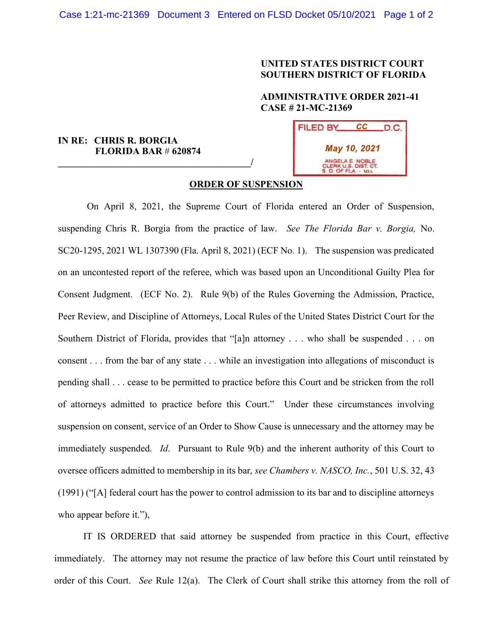# UNITED STATES DISTRICT COURT SOUTHERN DISTRICT OF FLORIDA

# ADMINISTRATIVE ORDER 2021-41 CASE # 21-MC-21369

# IN RE: CHRIS R. BORGIA FLORIDA BAR # 620874

 $\overline{\phantom{a}}$ 



#### ORDER OF SUSPENSION

On April 8, 2021, the Supreme Court of Florida entered an Order of Suspension, suspending Chris R. Borgia from the practice of law. See The Florida Bar v. Borgia, No. SC20-1295, 2021 WL 1307390 (Fla. April 8, 2021) (ECF No. 1). The suspension was predicated on an uncontested report of the referee, which was based upon an Unconditional Guilty Plea for Consent Judgment. (ECF No. 2). Rule 9(b) of the Rules Governing the Admission, Practice, Peer Review, and Discipline of Attorneys, Local Rules of the United States District Court for the Southern District of Florida, provides that "[a]n attorney . . . who shall be suspended . . . on consent . . . from the bar of any state . . . while an investigation into allegations of misconduct is pending shall . . . cease to be permitted to practice before this Court and be stricken from the roll of attorneys admitted to practice before this Court." Under these circumstances involving suspension on consent, service of an Order to Show Cause is unnecessary and the attorney may be immediately suspended. Id. Pursuant to Rule 9(b) and the inherent authority of this Court to oversee officers admitted to membership in its bar, see Chambers v. NASCO, Inc., 501 U.S. 32, 43 (1991) ("[A] federal court has the power to control admission to its bar and to discipline attorneys who appear before it."),

IT IS ORDERED that said attorney be suspended from practice in this Court, effective immediately. The attorney may not resume the practice of law before this Court until reinstated by order of this Court. See Rule 12(a). The Clerk of Court shall strike this attorney from the roll of